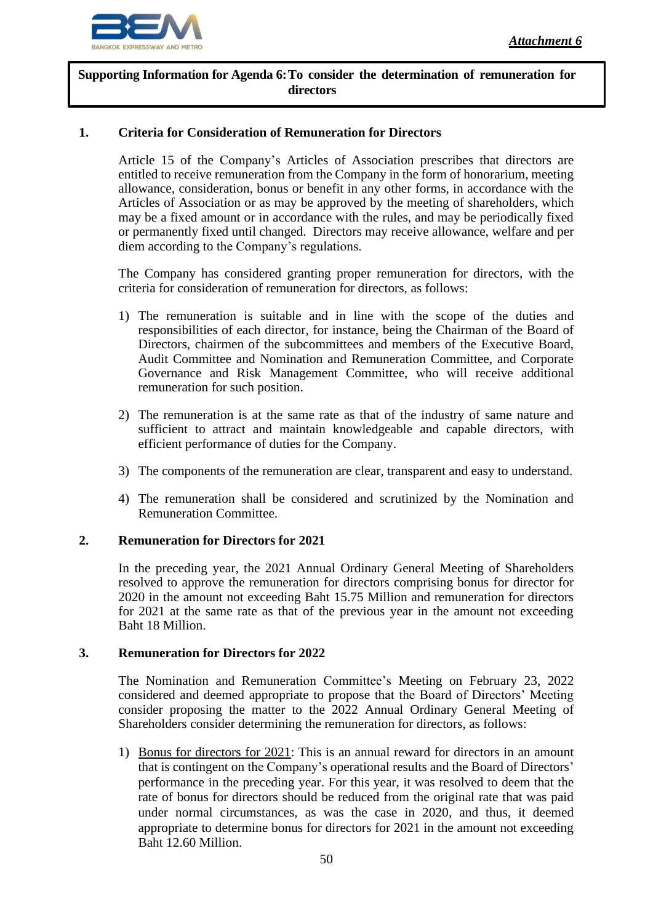

**Supporting Information for Agenda 6:To consider the determination of remuneration for directors**

## **1. Criteria for Consideration of Remuneration for Directors**

Article 15 of the Company's Articles of Association prescribes that directors are entitled to receive remuneration from the Company in the form of honorarium, meeting allowance, consideration, bonus or benefit in any other forms, in accordance with the Articles of Association or as may be approved by the meeting of shareholders, which may be a fixed amount or in accordance with the rules, and may be periodically fixed or permanently fixed until changed. Directors may receive allowance, welfare and per diem according to the Company's regulations.

The Company has considered granting proper remuneration for directors, with the criteria for consideration of remuneration for directors, as follows:

- 1) The remuneration is suitable and in line with the scope of the duties and responsibilities of each director, for instance, being the Chairman of the Board of Directors, chairmen of the subcommittees and members of the Executive Board, Audit Committee and Nomination and Remuneration Committee, and Corporate Governance and Risk Management Committee, who will receive additional remuneration for such position.
- 2) The remuneration is at the same rate as that of the industry of same nature and sufficient to attract and maintain knowledgeable and capable directors, with efficient performance of duties for the Company.
- 3) The components of the remuneration are clear, transparent and easy to understand.
- 4) The remuneration shall be considered and scrutinized by the Nomination and Remuneration Committee.

### **2. Remuneration for Directors for 2021**

In the preceding year, the 2021 Annual Ordinary General Meeting of Shareholders resolved to approve the remuneration for directors comprising bonus for director for 2020 in the amount not exceeding Baht 15.75 Million and remuneration for directors for 2021 at the same rate as that of the previous year in the amount not exceeding Baht 18 Million.

### **3. Remuneration for Directors for 2022**

The Nomination and Remuneration Committee's Meeting on February 23, 2022 considered and deemed appropriate to propose that the Board of Directors' Meeting consider proposing the matter to the 2022 Annual Ordinary General Meeting of Shareholders consider determining the remuneration for directors, as follows:

1) Bonus for directors for 2021: This is an annual reward for directors in an amount that is contingent on the Company's operational results and the Board of Directors' performance in the preceding year. For this year, it was resolved to deem that the rate of bonus for directors should be reduced from the original rate that was paid under normal circumstances, as was the case in 2020, and thus, it deemed appropriate to determine bonus for directors for 2021 in the amount not exceeding Baht 12.60 Million.